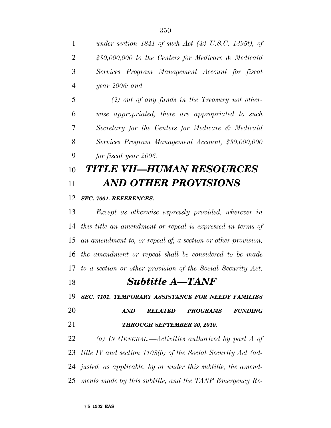| $\mathbf{1}$   | under section $1841$ of such Act (42 U.S.C. 1395t), of            |  |
|----------------|-------------------------------------------------------------------|--|
| $\overline{2}$ | \$30,000,000 to the Centers for Medicare & Medicaid               |  |
| 3              | Services Program Management Account for fiscal                    |  |
| $\overline{4}$ | year $2006$ ; and                                                 |  |
| 5              | $(2)$ out of any funds in the Treasury not other-                 |  |
| 6              | wise appropriated, there are appropriated to such                 |  |
| 7              | Secretary for the Centers for Medicare & Medicaid                 |  |
| 8              | Services Program Management Account, \$30,000,000                 |  |
| 9              | for fiscal year 2006.                                             |  |
| 10             | TITLE VII—HUMAN RESOURCES                                         |  |
| 11             | <b>AND OTHER PROVISIONS</b>                                       |  |
| 12             | SEC. 7001. REFERENCES.                                            |  |
| 13             | Except as otherwise expressly provided, wherever in               |  |
| 14             | this title an amendment or repeal is expressed in terms of        |  |
| 15             | an amendment to, or repeal of, a section or other provision,      |  |
| 16             | the amendment or repeal shall be considered to be made            |  |
| 17             | to a section or other provision of the Social Security Act.       |  |
| 18             | <b>Subtitle A-TANF</b>                                            |  |
| 19             | SEC. 7101. TEMPORARY ASSISTANCE FOR NEEDY FAMILIES                |  |
| 20             | <b>RELATED</b><br><b>PROGRAMS</b><br><b>FUNDING</b><br><b>AND</b> |  |
| 21             | THROUGH SEPTEMBER 30, 2010.                                       |  |
| 22             | (a) IN GENERAL.—Activities authorized by part A of                |  |
|                | 23 title IV and section 1108(b) of the Social Security Act (ad-   |  |
|                | 24 justed, as applicable, by or under this subtitle, the amend-   |  |
|                | 25 ments made by this subtitle, and the TANF Emergency Re-        |  |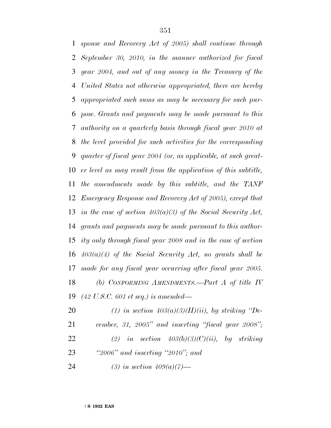*sponse and Recovery Act of 2005) shall continue through September 30, 2010, in the manner authorized for fiscal year 2004, and out of any money in the Treasury of the United States not otherwise appropriated, there are hereby appropriated such sums as may be necessary for such pur- pose. Grants and payments may be made pursuant to this authority on a quarterly basis through fiscal year 2010 at the level provided for such activities for the corresponding quarter of fiscal year 2004 (or, as applicable, at such great- er level as may result from the application of this subtitle, the amendments made by this subtitle, and the TANF Emergency Response and Recovery Act of 2005), except that in the case of section 403(a)(3) of the Social Security Act, grants and payments may be made pursuant to this author- ity only through fiscal year 2008 and in the case of section 403(a)(4) of the Social Security Act, no grants shall be made for any fiscal year occurring after fiscal year 2005. (b) CONFORMING AMENDMENTS.—Part A of title IV (42 U.S.C. 601 et seq.) is amended— (1) in section 403(a)(3)(H)(ii), by striking ''De-*

 *cember, 31, 2005'' and inserting ''fiscal year 2008''; (2) in section 403(b)(3)(C)(ii), by striking ''2006'' and inserting ''2010''; and*

*(3) in section 409(a)(7)—*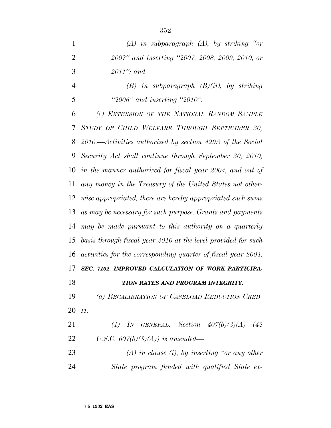| $\mathbf{1}$   | $(A)$ in subparagraph $(A)$ , by striking "or                 |
|----------------|---------------------------------------------------------------|
| $\overline{2}$ | 2007" and inserting "2007, 2008, 2009, 2010, or               |
| 3              | $2011$ "; and                                                 |
| 4              | $(B)$ in subparagraph $(B)(ii)$ , by striking                 |
| 5              | "2006" and inserting "2010".                                  |
| 6              | (c) EXTENSION OF THE NATIONAL RANDOM SAMPLE                   |
|                | 7 STUDY OF CHILD WELFARE THROUGH SEPTEMBER 30,                |
|                | 8 2010.—Activities authorized by section 429A of the Social   |
|                | 9 Security Act shall continue through September 30, 2010,     |
|                | $0$ in the manner authorized for fiscal year 2004, and out of |
|                |                                                               |

 *STUDY OF CHILD WELFARE THROUGH SEPTEMBER 30, 2010.—Activities authorized by section 429A of the Social Security Act shall continue through September 30, 2010, in the manner authorized for fiscal year 2004, and out of any money in the Treasury of the United States not other- wise appropriated, there are hereby appropriated such sums as may be necessary for such purpose. Grants and payments may be made pursuant to this authority on a quarterly basis through fiscal year 2010 at the level provided for such activities for the corresponding quarter of fiscal year 2004. SEC. 7102. IMPROVED CALCULATION OF WORK PARTICIPA- TION RATES AND PROGRAM INTEGRITY. (a) RECALIBRATION OF CASELOAD REDUCTION CRED- IT.— (1) IN GENERAL.—Section 407(b)(3)(A) (42 U.S.C. 607(b)(3)(A)) is amended—*

 *(A) in clause (i), by inserting ''or any other State program funded with qualified State ex-*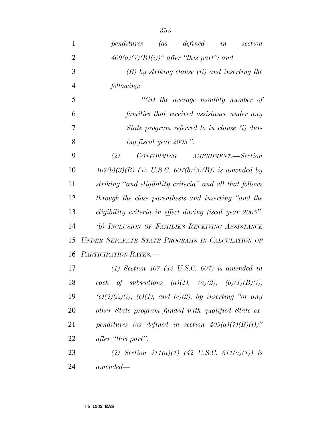| $\mathbf{1}$   | <i>penditures</i> (as defined in<br>section                     |
|----------------|-----------------------------------------------------------------|
| $\overline{2}$ | $409(a)(7)(B)(i))$ " after "this part"; and                     |
| 3              | $(B)$ by striking clause (ii) and inserting the                 |
| $\overline{4}$ | following:                                                      |
| 5              | $``(ii)$ the average monthly number of                          |
| 6              | families that received assistance under any                     |
| 7              | State program referred to in clause (i) dur-                    |
| 8              | ing fiscal year 2005.".                                         |
| 9              | (2)<br>CONFORMING AMENDMENT.-Section                            |
| 10             | $407(b)(3)(B)$ (42 U.S.C. 607(b)(3)(B)) is amended by           |
| 11             | striking "and eligibility criteria" and all that follows        |
| 12             | through the close parenthesis and inserting "and the            |
| 13             | eligibility criteria in effect during fiscal year 2005".        |
| 14             | (b) INCLUSION OF FAMILIES RECEIVING ASSISTANCE                  |
| 15             | UNDER SEPARATE STATE PROGRAMS IN CALCULATION OF                 |
| 16             | PARTICIPATION RATES.-                                           |
| 17             | (1) Section 407 (42 U.S.C. 607) is amended in                   |
| 18             | each of subsections (a)(1), (a)(2), (b)(1)(B)(i),               |
| 19             | $(c)(2)(A)(i)$ , $(e)(1)$ , and $(e)(2)$ , by inserting "or any |
| 20             | other State program funded with qualified State ex-             |
| 21             | penditures (as defined in section $409(a)(7)(B)(i))$ "          |
| 22             | after "this part".                                              |
| 23             | (2) Section $411(a)(1)$ (42 U.S.C. 611(a)(1)) is                |
| 24             | $amended -$                                                     |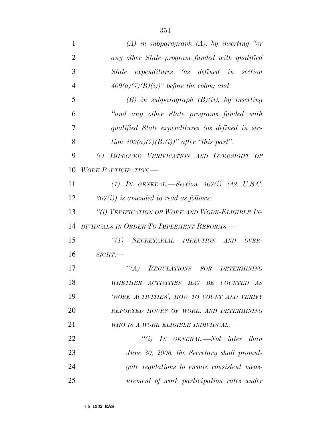| 1              | $(A)$ in subparagraph $(A)$ , by inserting "or     |
|----------------|----------------------------------------------------|
| 2              | any other State program funded with qualified      |
| 3              | expenditures (as defined in section<br>State       |
| $\overline{4}$ | $409(a)(7)(B)(i))$ " before the colon; and         |
| 5              | $(B)$ in subparagraph $(B)(ii)$ , by inserting     |
| 6              | "and any other State programs funded with          |
| 7              | qualified State expenditures (as defined in sec-   |
| 8              | tion $409(a)(7)(B)(i)$ " after "this part".        |
| 9              | IMPROVED VERIFICATION AND OVERSIGHT OF<br>(c)      |
| 10             | <b>WORK PARTICIPATION.—</b>                        |
| 11             | (1) IN GENERAL.—Section $407(i)$ (42 U.S.C.        |
| 12             | $607(i)$ ) is amended to read as follows:          |
| 13             | "(i) VERIFICATION OF WORK AND WORK-ELIGIBLE IN-    |
| 14             | DIVIDUALS IN ORDER TO IMPLEMENT REFORMS.-          |
| 15             | ``(1)<br>SECRETARIAL DIRECTION<br>AND<br>OVER-     |
| 16             | $SIGHT$ .                                          |
| 17             | $\lq (A)$<br>REGULATIONS FOR<br><b>DETERMINING</b> |
| 18             | WHETHER ACTIVITIES MAY BE COUNTED AS               |
| 19             | 'WORK ACTIVITIES', HOW TO COUNT AND VERIFY         |
| 20             | REPORTED HOURS OF WORK, AND DETERMINING            |
| 21             | WHO IS A WORK-ELIGIBLE INDIVIDUAL.-                |
| 22             | "(i) IN GENERAL.—Not later than                    |
| 23             | June 30, 2006, the Secretary shall promul-         |
| 24             | gate regulations to ensure consistent meas-        |
| 25             | urement of work participation rates under          |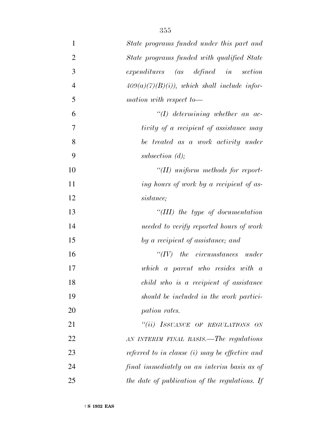| 1              | State programs funded under this part and      |
|----------------|------------------------------------------------|
| $\overline{2}$ | State programs funded with qualified State     |
| 3              | expenditures (as defined in<br>section         |
| $\overline{4}$ | $409(a)(7)(B)(i)$ , which shall include infor- |
| 5              | mation with respect to-                        |
| 6              | $\lq (I)$ determining whether an ac-           |
| 7              | tivity of a recipient of assistance may        |
| 8              | be treated as a work activity under            |
| 9              | subsection $(d)$ ;                             |
| 10             | $\lq (II)$ uniform methods for report-         |
| 11             | ing hours of work by a recipient of as-        |
| 12             | sistance;                                      |
| 13             | "(III) the type of documentation               |
| 14             | needed to verify reported hours of work        |
| 15             | by a recipient of assistance; and              |
| 16             | $``(IV)$ the circumstances under               |
| 17             | which a parent who resides with a              |
| 18             | child who is a recipient of assistance         |
| 19             | should be included in the work partici-        |
| 20             | pation rates.                                  |
| 21             | "(ii) ISSUANCE OF REGULATIONS ON               |
| 22             | AN INTERIM FINAL BASIS.—The regulations        |
| 23             | referred to in clause (i) may be effective and |
| 24             | final immediately on an interim basis as of    |
| 25             | the date of publication of the regulations. If |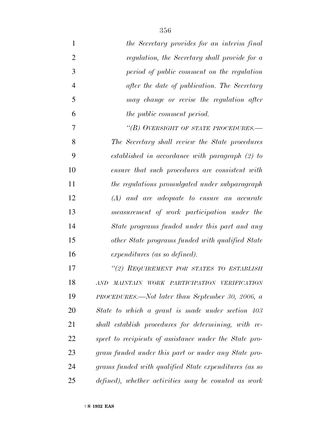| $\mathbf{1}$   | the Secretary provides for an interim final            |
|----------------|--------------------------------------------------------|
| $\overline{2}$ | regulation, the Secretary shall provide for a          |
| 3              | period of public comment on the regulation             |
| $\overline{4}$ | after the date of publication. The Secretary           |
| 5              | may change or revise the regulation after              |
| 6              | <i>the public comment period.</i>                      |
| $\overline{7}$ | "(B) OVERSIGHT OF STATE PROCEDURES.—                   |
| 8              | The Secretary shall review the State procedures        |
| 9              | established in accordance with paragraph $(2)$ to      |
| 10             | ensure that such procedures are consistent with        |
| 11             | the regulations promulgated under subparagraph         |
| 12             | $(A)$ and are adequate to ensure an accurate           |
| 13             | measurement of work participation under the            |
| 14             | State programs funded under this part and any          |
| 15             | other State programs funded with qualified State       |
| 16             | expenditures (as so defined).                          |
| 17             | "(2) REQUIREMENT FOR STATES TO ESTABLISH               |
| 18             | AND MAINTAIN WORK PARTICIPATION VERIFICATION           |
| 19             | PROCEDURES.—Not later than September 30, 2006, a       |
| 20             | State to which a grant is made under section 403       |
| 21             | shall establish procedures for determining, with re-   |
| 22             | spect to recipients of assistance under the State pro- |
| 23             | gram funded under this part or under any State pro-    |
| 24             | grams funded with qualified State expenditures (as so  |
| 25             | defined), whether activities may be counted as work    |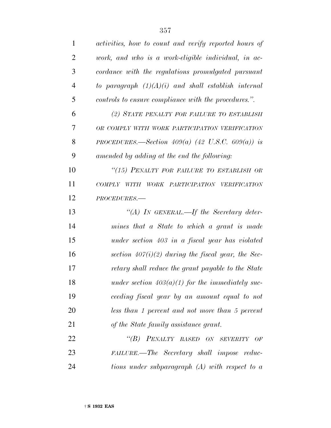| $\mathbf{1}$ | activities, how to count and verify reported hours of |
|--------------|-------------------------------------------------------|
| 2            | work, and who is a work-eligible individual, in ac-   |
| 3            | cordance with the regulations promulgated pursuant    |
| 4            | to paragraph $(1)(A)(i)$ and shall establish internal |
| 5            | controls to ensure compliance with the procedures.".  |
| 6            | (2) STATE PENALTY FOR FAILURE TO ESTABLISH            |
| 7            | OR COMPLY WITH WORK PARTICIPATION VERIFICATION        |
| 8            | PROCEDURES.—Section $409(a)$ (42 U.S.C. 609(a)) is    |
| 9            | amended by adding at the end the following:           |
| 10           | "(15) PENALTY FOR FAILURE TO ESTABLISH OR             |
| 11           | WORK PARTICIPATION VERIFICATION<br>COMPLY WITH        |
| 12           | PROCEDURES.-                                          |
| 13           | "(A) IN GENERAL.—If the Secretary deter-              |
| 14           | mines that a State to which a grant is made           |
| 15           | under section 403 in a fiscal year has violated       |
| 16           | section $407(i)(2)$ during the fiscal year, the Sec-  |
| 17           | retary shall reduce the grant payable to the State    |
| 18           | under section $403(a)(1)$ for the immediately suc-    |
| 19           | ceeding fiscal year by an amount equal to not         |
| 20           | less than 1 percent and not more than 5 percent       |
| 21           | of the State family assistance grant.                 |
| 22           | "(B) PENALTY BASED ON SEVERITY OF                     |
| 23           | FAILURE.—The Secretary shall impose reduc-            |
| 24           | tions under subparagraph $(A)$ with respect to a      |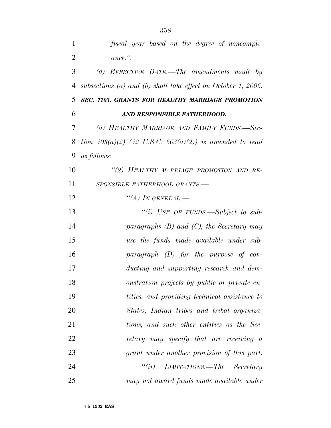*fiscal year based on the degree of noncompli- ance.''. (d) EFFECTIVE DATE.—The amendments made by subsections (a) and (b) shall take effect on October 1, 2006. SEC. 7103. GRANTS FOR HEALTHY MARRIAGE PROMOTION AND RESPONSIBLE FATHERHOOD. (a) HEALTHY MARRIAGE AND FAMILY FUNDS.—Sec- tion 403(a)(2) (42 U.S.C. 603(a)(2)) is amended to read as follows: ''(2) HEALTHY MARRIAGE PROMOTION AND RE- SPONSIBLE FATHERHOOD GRANTS.— ''(A) IN GENERAL.— ''(i) USE OF FUNDS.—Subject to sub- paragraphs (B) and (C), the Secretary may use the funds made available under sub- paragraph (D) for the purpose of con- ducting and supporting research and dem- onstration projects by public or private en- tities, and providing technical assistance to States, Indian tribes and tribal organiza- tions, and such other entities as the Sec- retary may specify that are receiving a grant under another provision of this part. ''(ii) LIMITATIONS.—The Secretary may not award funds made available under*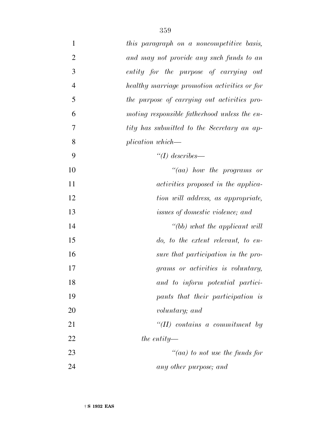| $\mathbf{1}$   | this paragraph on a noncompetitive basis,    |
|----------------|----------------------------------------------|
| $\overline{2}$ | and may not provide any such funds to an     |
| 3              | entity for the purpose of carrying out       |
| $\overline{4}$ | healthy marriage promotion activities or for |
| 5              | the purpose of carrying out activities pro-  |
| 6              | moting responsible fatherhood unless the en- |
| 7              | tity has submitted to the Secretary an ap-   |
| 8              | plication which—                             |
| 9              | "(I) describes—                              |
| 10             | $"(aa)$ how the programs or                  |
| 11             | <i>activities proposed in the applica-</i>   |
| 12             | tion will address, as appropriate,           |
| 13             | <i>issues of domestic violence; and</i>      |
| 14             | "(bb) what the applicant will                |
| 15             | do, to the extent relevant, to en-           |
| 16             | sure that participation in the pro-          |
| 17             | grams or activities is voluntary,            |
| 18             | and to inform potential partici-             |
| 19             | pants that their participation is            |
| 20             | voluntary; and                               |
| 21             | $``(II)$ contains a commitment by            |
| 22             | the entity—                                  |
| 23             | "(aa) to not use the funds for               |
| 24             | any other purpose; and                       |
|                |                                              |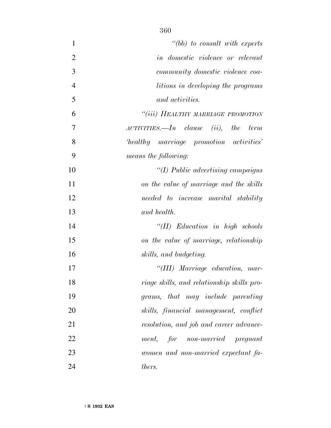| $\mathbf{1}$   | $" (bb)$ to consult with experts           |
|----------------|--------------------------------------------|
| $\overline{2}$ | in domestic violence or relevant           |
| 3              | community domestic violence coa-           |
| $\overline{4}$ | litions in developing the programs         |
| 5              | and activities.                            |
| 6              | "(iii) HEALTHY MARRIAGE PROMOTION          |
| 7              | $ACTIVITIES. - In clause (ii), the term$   |
| 8              | healthy marriage promotion activities'     |
| 9              | means the following:                       |
| 10             | $\lq (I)$ Public advertising campaigns     |
| 11             | on the value of marriage and the skills    |
| 12             | needed to increase marital stability       |
| 13             | and health.                                |
| 14             | $``(II)$ Education in high schools         |
| 15             | on the value of marriage, relationship     |
| 16             | skills, and budgeting.                     |
| 17             | "(III) Marriage education, mar-            |
| 18             | riage skills, and relationship skills pro- |
| 19             | grams, that may include parenting          |
| 20             | skills, financial management, conflict     |
| 21             | resolution, and job and career advance-    |
| 22             | for non-married pregnant<br>ment,          |
| 23             | women and non-married expectant fa-        |
| 24             | thers.                                     |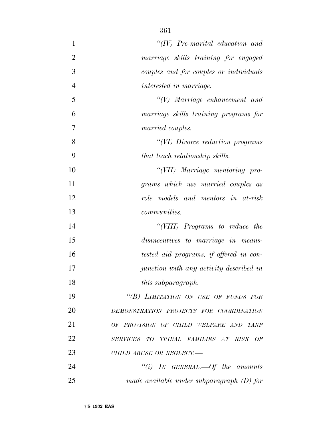| $\mathbf{1}$   | $``(IV)$ Pre-marital education and          |
|----------------|---------------------------------------------|
| $\overline{2}$ | marriage skills training for engaged        |
| 3              | couples and for couples or individuals      |
| $\overline{4}$ | interested in marriage.                     |
| 5              | $\lq\lq(V)$ Marriage enhancement and        |
| 6              | marriage skills training programs for       |
| $\overline{7}$ | married couples.                            |
| 8              | "(VI) Divorce reduction programs            |
| 9              | that teach relationship skills.             |
| 10             | "(VII) Marriage mentoring pro-              |
| 11             | grams which use married couples as          |
| 12             | role models and mentors in at-risk          |
| 13             | <i>communities.</i>                         |
| 14             | "(VIII) Programs to reduce the              |
| 15             | disincentives to marriage in means-         |
| 16             | tested aid programs, if offered in con-     |
| 17             | junction with any activity described in     |
| 18             | <i>this subparagraph.</i>                   |
| 19             | "(B) LIMITATION ON USE OF FUNDS FOR         |
| 20             | DEMONSTRATION PROJECTS FOR COORDINATION     |
| 21             | OF PROVISION OF CHILD WELFARE AND TANF      |
| 22             | SERVICES TO TRIBAL FAMILIES AT RISK OF      |
| 23             | CHILD ABUSE OR NEGLECT.-                    |
| 24             | "(i) IN GENERAL.—Of the amounts             |
| 25             | made available under subparagraph $(D)$ for |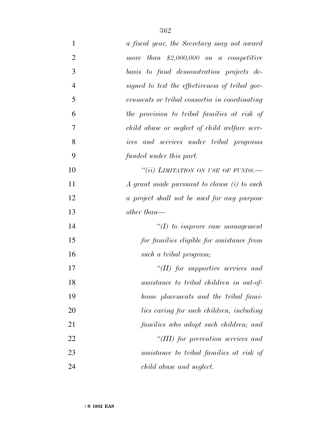| $\mathbf{1}$   | a fiscal year, the Secretary may not award      |
|----------------|-------------------------------------------------|
| $\overline{2}$ | more than $$2,000,000$ on a competitive         |
| 3              | basis to fund demonstration projects de-        |
| $\overline{4}$ | signed to test the effectiveness of tribal gov- |
| 5              | ernments or tribal consortia in coordinating    |
| 6              | the provision to tribal families at risk of     |
| 7              | child abuse or neglect of child welfare serv-   |
| 8              | ices and services under tribal programs         |
| 9              | funded under this part.                         |
| 10             | "(ii) LIMITATION ON USE OF FUNDS.—              |
| 11             | A grant made pursuant to clause (i) to such     |
| 12             | a project shall not be used for any purpose     |
| 13             | other than—                                     |
| 14             | $\lq (I)$ to improve case management            |
| 15             | for families eligible for assistance from       |
| 16             | such a tribal program;                          |
| 17             | $\lq (II)$ for supportive services and          |
| 18             | assistance to tribal children in out-of-        |
| 19             | home placements and the tribal fami-            |
| 20             | lies caring for such children, including        |
| 21             | families who adopt such children; and           |
| 22             | "(III) for prevention services and              |
| 23             | assistance to tribal families at risk of        |
| 24             | child abuse and neglect.                        |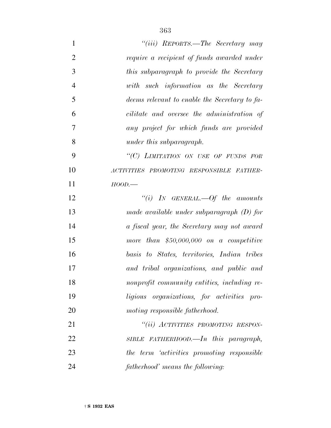| $\mathbf{1}$   | "(iii) REPORTS.—The Secretary may             |
|----------------|-----------------------------------------------|
| $\overline{2}$ | require a recipient of funds awarded under    |
| 3              | this subparagraph to provide the Secretary    |
| $\overline{4}$ | with such information as the Secretary        |
| 5              | deems relevant to enable the Secretary to fa- |
| 6              | cilitate and oversee the administration of    |
| 7              | any project for which funds are provided      |
| 8              | under this subparagraph.                      |
| 9              | "(C) LIMITATION ON USE OF FUNDS FOR           |
| 10             | ACTIVITIES PROMOTING RESPONSIBLE FATHER-      |
| 11             | $HOOD$ .                                      |
| 12             | "(i) IN GENERAL.—Of the amounts               |
| 13             | made available under subparagraph $(D)$ for   |
| 14             | a fiscal year, the Secretary may not award    |
| 15             | more than $$50,000,000$ on a competitive      |
| 16             | basis to States, territories, Indian tribes   |
| 17             | and tribal organizations, and public and      |
| 18             | nonprofit community entities, including re-   |
| 19             | ligious organizations, for activities pro-    |
| 20             | moting responsible fatherhood.                |
| 21             | "(ii) ACTIVITIES PROMOTING RESPON-            |
| 22             | SIBLE FATHERHOOD.—In this paragraph,          |
| 23             | the term 'activities promoting responsible    |
| 24             | fatherhood' means the following:              |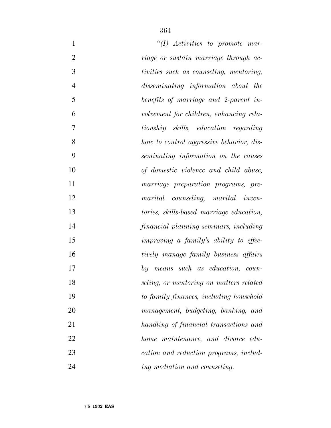| $\mathbf{1}$   | $\lq (I)$ Activities to promote mar-     |
|----------------|------------------------------------------|
| $\overline{2}$ | riage or sustain marriage through ac-    |
| 3              | tivities such as counseling, mentoring,  |
| $\overline{4}$ | disseminating information about the      |
| 5              | benefits of marriage and 2-parent in-    |
| 6              | volvement for children, enhancing rela-  |
| $\overline{7}$ | tionship skills, education regarding     |
| 8              | how to control aggressive behavior, dis- |
| 9              | seminating information on the causes     |
| 10             | of domestic violence and child abuse,    |
| 11             | marriage preparation programs, pre-      |
| 12             | marital counseling, marital inven-       |
| 13             | tories, skills-based marriage education, |
| 14             | financial planning seminars, including   |
| 15             | improving a family's ability to effec-   |
| 16             | tively manage family business affairs    |
| 17             | by means such as education, coun-        |
| 18             | seling, or mentoring on matters related  |
| 19             | to family finances, including household  |
| 20             | management, budgeting, banking, and      |
| 21             | handling of financial transactions and   |
| 22             | home maintenance, and divorce edu-       |
| 23             | cation and reduction programs, includ-   |
| 24             | ing mediation and counseling.            |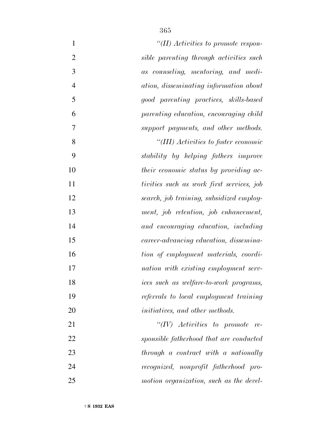| $\mathbf{1}$<br>"(II) Activities to promote respon-             |  |
|-----------------------------------------------------------------|--|
| $\overline{2}$<br>sible parenting through activities such       |  |
| 3<br>as counseling, mentoring, and medi-                        |  |
| $\overline{4}$<br><i>ation, disseminating information about</i> |  |
| 5<br>good parenting practices, skills-based                     |  |
| 6<br>parenting education, encouraging child                     |  |
| 7<br>support payments, and other methods.                       |  |
| 8<br>"(III) Activities to foster economic                       |  |
| 9<br>stability by helping fathers improve                       |  |
| 10<br>their economic status by providing ac-                    |  |
| tivities such as work first services, job                       |  |
| 12<br>search, job training, subsidized employ-                  |  |
| 13<br>ment, job retention, job enhancement,                     |  |
| 14<br>and encouraging education, including                      |  |
| 15<br>career-advancing education, dissemina-                    |  |
| 16<br>tion of employment materials, coordi-                     |  |
| 17<br>nation with existing employment serv-                     |  |
| ices such as welfare-to-work programs,<br>18                    |  |
| 19<br>referrals to local employment training                    |  |
| 20<br><i>initiatives, and other methods.</i>                    |  |
| " $(IV)$ Activities to promote re-                              |  |
| 22<br>sponsible fatherhood that are conducted                   |  |
| 23<br>through a contract with a nationally                      |  |
| 24<br>recognized, nonprofit fatherhood pro-                     |  |
| 25<br>motion organization, such as the devel-                   |  |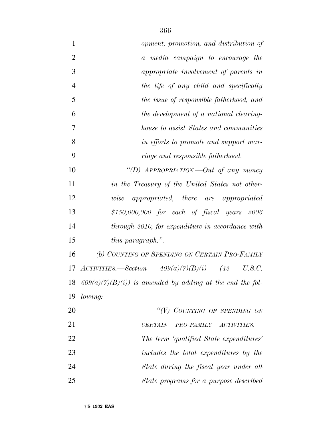| $\mathbf{1}$   | opment, promotion, and distribution of                              |
|----------------|---------------------------------------------------------------------|
| $\overline{2}$ | a media campaign to encourage the                                   |
| 3              | appropriate involvement of parents in                               |
| $\overline{4}$ | the life of any child and specifically                              |
| 5              | the issue of responsible fatherhood, and                            |
| 6              | the development of a national clearing-                             |
| 7              | house to assist States and communities                              |
| 8              | in efforts to promote and support mar-                              |
| 9              | riage and responsible fatherhood.                                   |
| 10             | "(D) APPROPRIATION.—Out of any money                                |
| 11             | in the Treasury of the United States not other-                     |
| 12             | appropriated, there are appropriated<br>wise                        |
| 13             | $$150,000,000$ for each of fiscal years $2006$                      |
| 14             | through 2010, for expenditure in accordance with                    |
| 15             | this paragraph.".                                                   |
| 16             | (b) COUNTING OF SPENDING ON CERTAIN PRO-FAMILY                      |
| 17             | $ACTIVITIES. \longrightarrow Section 409(a)(7)(B)(i)$ (42<br>U.S.C. |
| 18             | $609(a)(7)(B)(i)$ is amended by adding at the end the fol-          |
| 19             | lowing:                                                             |
| 20             | "(V) COUNTING OF SPENDING ON                                        |
| 21             | PRO-FAMILY<br>$ACTIVITIES.$ —<br><b>CERTAIN</b>                     |
| 22             | The term 'qualified State expenditures'                             |
| 23             | includes the total expenditures by the                              |
| 24             | State during the fiscal year under all                              |
| 25             | State programs for a purpose described                              |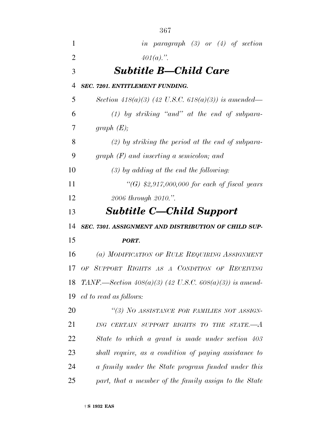| $\mathbf{1}$   | in paragraph $(3)$ or $(4)$ of section                    |
|----------------|-----------------------------------------------------------|
| $\overline{2}$ | $401(a).$ ".                                              |
| 3              | <b>Subtitle B—Child Care</b>                              |
| 4              | <b>SEC. 7201. ENTITLEMENT FUNDING.</b>                    |
| 5              | Section 418(a)(3) (42 U.S.C. 618(a)(3)) is amended—       |
| 6              | $(1)$ by striking "and" at the end of subpara-            |
| 7              | graph $(E);$                                              |
| 8              | $(2)$ by striking the period at the end of subpara-       |
| 9              | graph $(F)$ and inserting a semicolon; and                |
| 10             | $(3)$ by adding at the end the following:                 |
| 11             | "(G) $$2,917,000,000$ for each of fiscal years            |
| 12             | 2006 through 2010.".                                      |
| 13             | <b>Subtitle C—Child Support</b>                           |
| 14             | SEC. 7301. ASSIGNMENT AND DISTRIBUTION OF CHILD SUP-      |
| 15             | PORT.                                                     |
| 16             | (a) MODIFICATION OF RULE REQUIRING ASSIGNMENT             |
| 17             | OF SUPPORT RIGHTS AS A CONDITION OF RECEIVING             |
| 18             | TANF.—Section $408(a)(3)$ (42 U.S.C. 608(a)(3)) is amend- |
| 19             | ed to read as follows:                                    |
| <b>20</b>      | "(3) NO ASSISTANCE FOR FAMILIES NOT ASSIGN-               |
| 21             | ING CERTAIN SUPPORT RIGHTS TO THE STATE.-A                |
| 22             | State to which a grant is made under section 403          |
| 23             | shall require, as a condition of paying assistance to     |
| 24             | a family under the State program funded under this        |
| 25             | part, that a member of the family assign to the State     |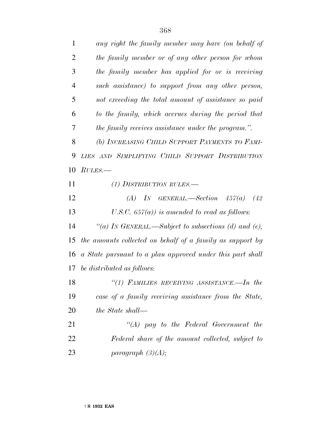| $\mathbf{1}$   | any right the family member may have (on behalf of         |
|----------------|------------------------------------------------------------|
| $\overline{2}$ | the family member or of any other person for whom          |
| 3              | the family member has applied for or is receiving          |
| $\overline{4}$ | such assistance) to support from any other person,         |
| 5              | not exceeding the total amount of assistance so paid       |
| 6              | to the family, which accrues during the period that        |
| 7              | <i>the family receives assistance under the program.".</i> |
| 8              | (b) INCREASING CHILD SUPPORT PAYMENTS TO FAMI-             |
| 9              | LIES AND SIMPLIFYING CHILD SUPPORT DISTRIBUTION            |
| 10             | RUES.                                                      |
| 11             | (1) DISTRIBUTION RULES.—                                   |
| 12             | (A) IN GENERAL.—Section $457(a)$<br>(42)                   |
| 13             | U.S.C. $657(a)$ is amended to read as follows:             |
| 14             | "(a) IN GENERAL.—Subject to subsections (d) and (e),       |
| 15             | the amounts collected on behalf of a family as support by  |
| 16             | a State pursuant to a plan approved under this part shall  |
| 17             | be distributed as follows:                                 |
| 18             | "(1) FAMILIES RECEIVING ASSISTANCE.—In the                 |
| 19             | case of a family receiving assistance from the State,      |
| 20             | the State shall—                                           |
| 21             | $\lq\lq (A)$ pay to the Federal Government the             |
| 22             | Federal share of the amount collected, subject to          |
| 23             | paragraph $(3)(A);$                                        |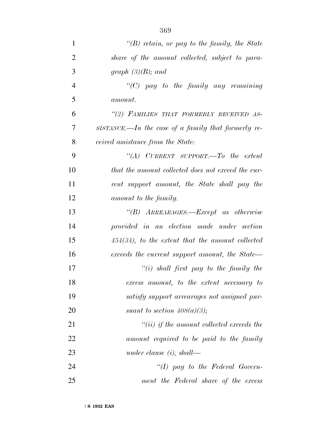| $\mathbf{1}$   | $\lq\lq(B)$ retain, or pay to the family, the State |
|----------------|-----------------------------------------------------|
| $\overline{2}$ | share of the amount collected, subject to para-     |
| 3              | graph $(3)(B)$ ; and                                |
| $\overline{4}$ | " $(C)$ pay to the family any remaining             |
| 5              | <i>amount.</i>                                      |
| 6              | "(2) FAMILIES THAT FORMERLY RECEIVED AS-            |
| 7              | SISTANCE.—In the case of a family that formerly re- |
| 8              | ceived assistance from the State:                   |
| 9              | "(A) CURRENT SUPPORT.—To the extent                 |
| 10             | that the amount collected does not exceed the cur-  |
| 11             | rent support amount, the State shall pay the        |
| 12             | amount to the family.                               |
| 13             | $\lq\lq(B)$ ARREARAGES.—Except as otherwise         |
| 14             | provided in an election made under section          |
| 15             | $454(34)$ , to the extent that the amount collected |
| 16             | exceeds the current support amount, the State—      |
| 17             | "(i) shall first pay to the family the              |
| 18             | excess amount, to the extent necessary to           |
| 19             | satisfy support arrearages not assigned pur-        |
| 20             | suant to section $408(a)(3)$ ;                      |
| 21             | $``(ii)$ if the amount collected exceeds the        |
| 22             | amount required to be paid to the family            |
| 23             | under clause $(i)$ , shall—                         |
| 24             | "(I) pay to the Federal Govern-                     |
| 25             | ment the Federal share of the excess                |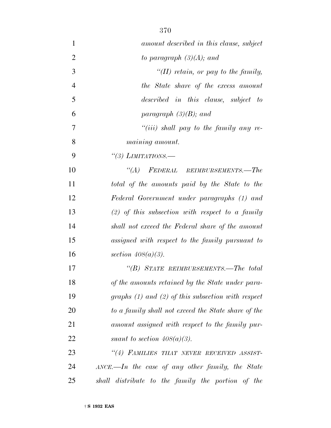| $\mathbf{1}$   | amount described in this clause, subject                     |
|----------------|--------------------------------------------------------------|
| $\overline{2}$ | to paragraph $(3)(A)$ ; and                                  |
| 3              | "(II) retain, or pay to the family,                          |
| $\overline{4}$ | the State share of the excess amount                         |
| 5              | described in this clause, subject to                         |
| 6              | paragraph $(3)(B)$ ; and                                     |
| 7              | "(iii) shall pay to the family any re-                       |
| 8              | <i>maining amount.</i>                                       |
| 9              | "(3) LIMITATIONS.—                                           |
| 10             | "(A) FEDERAL REIMBURSEMENTS.—The                             |
| 11             | total of the amounts paid by the State to the                |
| 12             | Federal Government under paragraphs (1) and                  |
| 13             | $(2)$ of this subsection with respect to a family            |
| 14             | shall not exceed the Federal share of the amount             |
| 15             | assigned with respect to the family pursuant to              |
| 16             | section $408(a)(3)$ .                                        |
| 17             | "(B) STATE REIMBURSEMENTS.—The total                         |
| 18             | of the amounts retained by the State under para-             |
| 19             | graphs $(1)$ and $(2)$ of this subsection with respect       |
| 20             | to a family shall not exceed the State share of the          |
| 21             | amount assigned with respect to the family pur-              |
| 22             | suant to section $408(a)(3)$ .                               |
| 23             | "(4) FAMILIES THAT NEVER RECEIVED ASSIST-                    |
| 24             | $\triangle$ ANCE.—In the case of any other family, the State |
| 25             | distribute to the family the portion of the<br>shall         |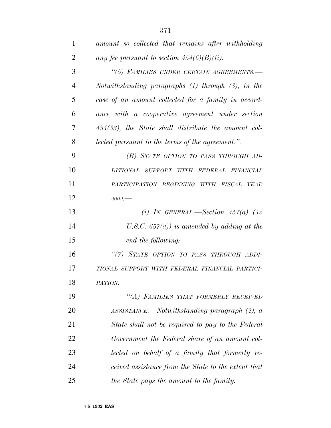| 1              | amount so collected that remains after withholding     |
|----------------|--------------------------------------------------------|
| $\overline{2}$ | any fee pursuant to section $454(6)(B)(ii)$ .          |
| 3              | "(5) FAMILIES UNDER CERTAIN AGREEMENTS.-               |
| 4              | Notwithstanding paragraphs (1) through (3), in the     |
| 5              | case of an amount collected for a family in accord-    |
| 6              | ance with a cooperative agreement under section        |
| 7              | $454(33)$ , the State shall distribute the amount col- |
| 8              | lected pursuant to the terms of the agreement.".       |
| 9              | (B) STATE OPTION TO PASS THROUGH AD-                   |
| 10             | DITIONAL SUPPORT WITH FEDERAL FINANCIAL                |
| 11             | PARTICIPATION BEGINNING WITH FISCAL YEAR               |
| 12             | 2009.                                                  |
| 13             | (i) IN GENERAL.—Section $457(a)$ (42)                  |
| 14             | U.S.C. $657(a)$ ) is amended by adding at the          |
| 15             | end the following:                                     |
| 16             | "(7) STATE OPTION TO PASS THROUGH ADDI-                |
| 17             | TIONAL SUPPORT WITH FEDERAL FINANCIAL PARTICI-         |
| 18             | PATION.                                                |
| 19             | "(A) FAMILIES THAT FORMERLY RECEIVED                   |
| 20             | $ASSISTANCE$ . Notwithstanding paragraph (2), a        |
| 21             | State shall not be required to pay to the Federal      |
| 22             | Government the Federal share of an amount col-         |
| 23             | lected on behalf of a family that formerly re-         |
| 24             | ceived assistance from the State to the extent that    |
| 25             | the State pays the amount to the family.               |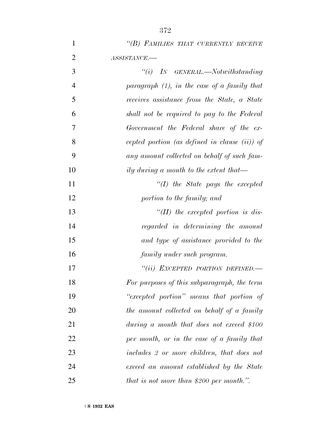|                | 372                                              |
|----------------|--------------------------------------------------|
| $\mathbf{1}$   | "(B) FAMILIES THAT CURRENTLY RECEIVE             |
| $\overline{2}$ | ASSISTANCE.-                                     |
| 3              | $``(i)$ IN GENERAL.—Notwithstanding              |
| $\overline{4}$ | paragraph $(1)$ , in the case of a family that   |
| 5              | receives assistance from the State, a State      |
| 6              | shall not be required to pay to the Federal      |
| $\overline{7}$ | Government the Federal share of the ex-          |
| 8              | cepted portion (as defined in clause $(ii)$ ) of |
| 9              | any amount collected on behalf of such fam-      |
| 10             | ily during a month to the extent that—           |
| 11             | $\lq (I)$ the State pays the excepted            |
| 12             | portion to the family; and                       |
| 13             | $\lq (II)$ the excepted portion is dis-          |
| 14             | regarded in determining the amount               |
| 15             | and type of assistance provided to the           |

 *''(ii) EXCEPTED PORTION DEFINED.— For purposes of this subparagraph, the term ''excepted portion'' means that portion of the amount collected on behalf of a family during a month that does not exceed \$100 per month, or in the case of a family that includes 2 or more children, that does not exceed an amount established by the State that is not more than \$200 per month.''.*

*family under such program.*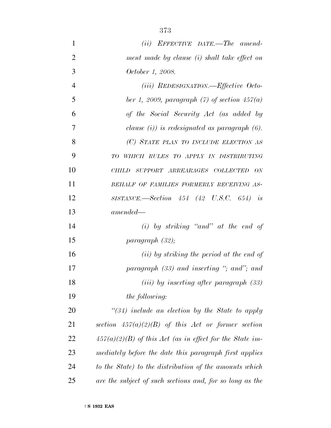*(ii) EFFECTIVE DATE.—The amend- ment made by clause (i) shall take effect on October 1, 2008. (iii) REDESIGNATION.—Effective Octo- ber 1, 2009, paragraph (7) of section 457(a) of the Social Security Act (as added by clause (i)) is redesignated as paragraph (6). (C) STATE PLAN TO INCLUDE ELECTION AS TO WHICH RULES TO APPLY IN DISTRIBUTING CHILD SUPPORT ARREARAGES COLLECTED ON BEHALF OF FAMILIES FORMERLY RECEIVING AS- SISTANCE.—Section 454 (42 U.S.C. 654) is amended— (i) by striking ''and'' at the end of paragraph (32); (ii) by striking the period at the end of paragraph (33) and inserting ''; and''; and (iii) by inserting after paragraph (33) the following: ''(34) include an election by the State to apply section 457(a)(2)(B) of this Act or former section 457(a)(2)(B) of this Act (as in effect for the State im- mediately before the date this paragraph first applies to the State) to the distribution of the amounts which*

*are the subject of such sections and, for so long as the*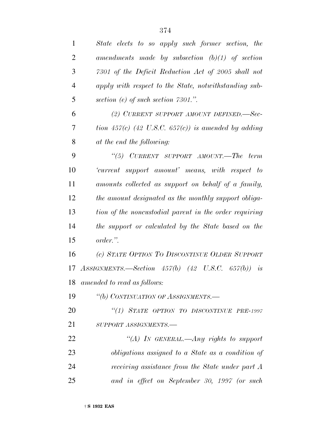| 1              | State elects to so apply such former section, the              |
|----------------|----------------------------------------------------------------|
| $\overline{2}$ | amendments made by subsection $(b)(1)$ of section              |
| 3              | 7301 of the Deficit Reduction Act of 2005 shall not            |
| $\overline{4}$ | apply with respect to the State, notwithstanding sub-          |
| 5              | section (e) of such section $7301$ .".                         |
| 6              | (2) CURRENT SUPPORT AMOUNT DEFINED.-Sec-                       |
| 7              | tion 457(c) (42 U.S.C. 657(c)) is amended by adding            |
| 8              | at the end the following:                                      |
| 9              | "(5) CURRENT SUPPORT AMOUNT.—The term                          |
| 10             | 'current support amount' means, with respect to                |
| 11             | amounts collected as support on behalf of a family,            |
| 12             | the amount designated as the monthly support obliga-           |
| 13             | tion of the noncustodial parent in the order requiring         |
| 14             | the support or calculated by the State based on the            |
| 15             | order.".                                                       |
| 16             | (c) STATE OPTION TO DISCONTINUE OLDER SUPPORT                  |
| 17             | ASSIGNMENTS.—Section $457(b)$ $(42 \text{ U.S.C. } 657(b))$ is |
| 18             | amended to read as follows:                                    |
| 19             | "(b) CONTINUATION OF ASSIGNMENTS.-                             |
| 20             | "(1) STATE OPTION TO DISCONTINUE PRE-1997                      |
| 21             | SUPPORT ASSIGNMENTS.-                                          |
| 22             | "(A) In GENERAL.—Any rights to support                         |
| 23             | obligations assigned to a State as a condition of              |
| 24             | receiving assistance from the State under part A               |
| 25             | and in effect on September 30, 1997 (or such                   |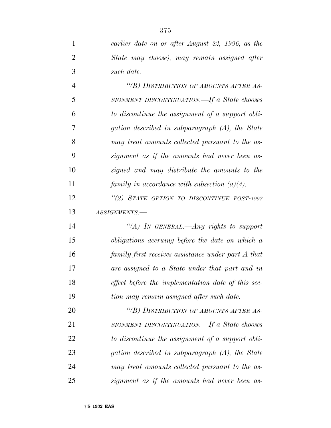| $\mathbf{1}$   | earlier date on or after August 22, 1996, as the   |
|----------------|----------------------------------------------------|
| $\overline{2}$ | State may choose), may remain assigned after       |
| 3              | such date.                                         |
| $\overline{4}$ | "(B) DISTRIBUTION OF AMOUNTS AFTER AS-             |
| 5              | SIGNMENT DISCONTINUATION.—If a State chooses       |
| 6              | to discontinue the assignment of a support obli-   |
| 7              | gation described in subparagraph (A), the State    |
| 8              | may treat amounts collected pursuant to the as-    |
| 9              | signment as if the amounts had never been as-      |
| 10             | signed and may distribute the amounts to the       |
| 11             | family in accordance with subsection $(a)(4)$ .    |
| 12             | "(2) STATE OPTION TO DISCONTINUE POST-1997         |
| 13             | ASSIGNMENTS.-                                      |
| 14             | "(A) In GENERAL.—Any rights to support             |
| 15             | obligations accruing before the date on which a    |
| 16             | family first receives assistance under part A that |
| 17             | are assigned to a State under that part and in     |
| 18             | effect before the implementation date of this sec- |
| 19             | tion may remain assigned after such date.          |
| 20             | "(B) DISTRIBUTION OF AMOUNTS AFTER AS-             |
| 21             | SIGNMENT DISCONTINUATION.—If a State chooses       |
| 22             | to discontinue the assignment of a support obli-   |
| 23             | gation described in subparagraph (A), the State    |
| 24             | may treat amounts collected pursuant to the as-    |
| 25             | signment as if the amounts had never been as-      |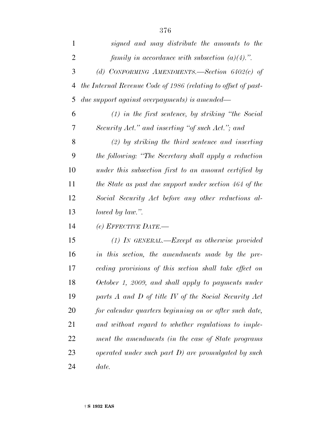| 1              | signed and may distribute the amounts to the                   |
|----------------|----------------------------------------------------------------|
| $\overline{2}$ | family in accordance with subsection $(a)(4)$ .".              |
| 3              | (d) CONFORMING AMENDMENTS. Section $6402(c)$ of                |
| 4              | the Internal Revenue Code of 1986 (relating to offset of past- |
| 5              | <i>due support against overpayments) is amended—</i>           |
| 6              | $(1)$ in the first sentence, by striking "the Social"          |
| 7              | Security Act." and inserting "of such Act."; and               |
| 8              | $(2)$ by striking the third sentence and inserting             |
| 9              | the following: "The Secretary shall apply a reduction          |
| 10             | under this subsection first to an amount certified by          |
| 11             | the State as past due support under section 464 of the         |
| 12             | Social Security Act before any other reductions al-            |
| 13             | lowed by law.".                                                |
| 14             | (e) EFFECTIVE DATE.-                                           |
| 15             | $(1)$ IN GENERAL.—Except as otherwise provided                 |
| 16             | in this section, the amendments made by the pre-               |
| 17             | ceding provisions of this section shall take effect on         |
| 18             | October 1, 2009, and shall apply to payments under             |
| 19             | parts A and D of title IV of the Social Security Act           |
| 20             | for calendar quarters beginning on or after such date,         |
| 21             | and without regard to whether regulations to imple-            |
| 22             | ment the amendments (in the case of State programs             |
| 23             | operated under such part D) are promulgated by such            |
| 24             | date.                                                          |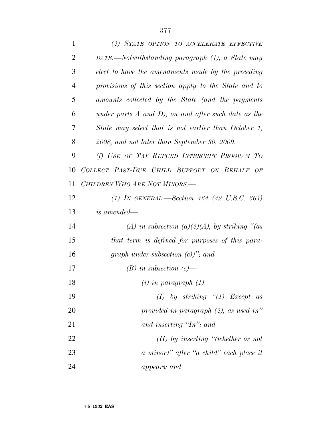| $\mathbf{1}$   | (2) STATE OPTION TO ACCELERATE EFFECTIVE                 |
|----------------|----------------------------------------------------------|
| $\overline{2}$ | DATE.—Notwithstanding paragraph (1), a State may         |
| 3              | elect to have the amendments made by the preceding       |
| 4              | provisions of this section apply to the State and to     |
| 5              | amounts collected by the State (and the payments         |
| 6              | under parts $A$ and $D$ ), on and after such date as the |
| 7              | State may select that is not earlier than October 1,     |
| 8              | 2008, and not later than September 30, 2009.             |
| 9              | (f) USE OF TAX REFUND INTERCEPT PROGRAM TO               |
| 10             | COLLECT PAST-DUE CHILD SUPPORT ON BEHALF OF              |
| 11             | CHILDREN WHO ARE NOT MINORS.-                            |
| 12             | (1) IN GENERAL.—Section 464 (42 U.S.C. 664)              |
| 13             | is amended—                                              |
| 14             | (A) in subsection (a)(2)(A), by striking "(as            |
| 15             | that term is defined for purposes of this para-          |
| 16             | graph under subsection $(c)$ "; and                      |
| 17             | $(B)$ in subsection $(c)$ —                              |
| 18             | $(i)$ in paragraph $(1)$ —                               |
| 19             | (I) by striking $\lq(1)$ Except as                       |
| 20             | provided in paragraph $(2)$ , as used in"                |
| 21             | and inserting 'In''; and                                 |
| 22             | $(II)$ by inserting "(whether or not                     |
| 23             | a minor)" after "a child" each place it                  |
| 24             | appears; and                                             |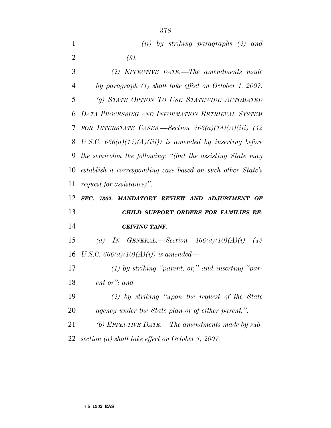|   |         |  | $(ii)$ by striking paragraphs $(2)$ and |  |
|---|---------|--|-----------------------------------------|--|
| 2 | $(3)$ . |  |                                         |  |

 *(2) EFFECTIVE DATE.—The amendments made by paragraph (1) shall take effect on October 1, 2007. (g) STATE OPTION TO USE STATEWIDE AUTOMATED DATA PROCESSING AND INFORMATION RETRIEVAL SYSTEM FOR INTERSTATE CASES.—Section 466(a)(14)(A)(iii) (42 U.S.C. 666(a)(14)(A)(iii)) is amended by inserting before the semicolon the following: ''(but the assisting State may establish a corresponding case based on such other State's request for assistance)''.*

 *SEC. 7302. MANDATORY REVIEW AND ADJUSTMENT OF CHILD SUPPORT ORDERS FOR FAMILIES RE-CEIVING TANF.*

 *(a) IN GENERAL.—Section 466(a)(10)(A)(i) (42 U.S.C. 666(a)(10)(A)(i)) is amended—*

 *(1) by striking ''parent, or,'' and inserting ''par-ent or''; and*

 *(2) by striking ''upon the request of the State agency under the State plan or of either parent,''.*

 *(b) EFFECTIVE DATE.—The amendments made by sub-section (a) shall take effect on October 1, 2007.*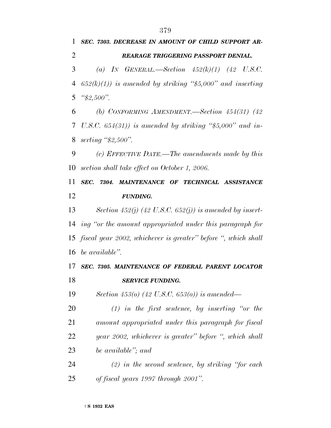*SEC. 7303. DECREASE IN AMOUNT OF CHILD SUPPORT AR- REARAGE TRIGGERING PASSPORT DENIAL. (a) IN GENERAL.—Section 452(k)(1) (42 U.S.C. 652(k)(1)) is amended by striking ''\$5,000'' and inserting ''\$2,500''. (b) CONFORMING AMENDMENT.—Section 454(31) (42 U.S.C. 654(31)) is amended by striking ''\$5,000'' and in- serting ''\$2,500''. (c) EFFECTIVE DATE.—The amendments made by this section shall take effect on October 1, 2006. SEC. 7304. MAINTENANCE OF TECHNICAL ASSISTANCE FUNDING. Section 452(j) (42 U.S.C. 652(j)) is amended by insert- ing ''or the amount appropriated under this paragraph for fiscal year 2002, whichever is greater'' before '', which shall be available''. SEC. 7305. MAINTENANCE OF FEDERAL PARENT LOCATOR SERVICE FUNDING. Section 453(o) (42 U.S.C. 653(o)) is amended— (1) in the first sentence, by inserting ''or the amount appropriated under this paragraph for fiscal year 2002, whichever is greater'' before '', which shall be available''; and (2) in the second sentence, by striking ''for each*

*of fiscal years 1997 through 2001''.*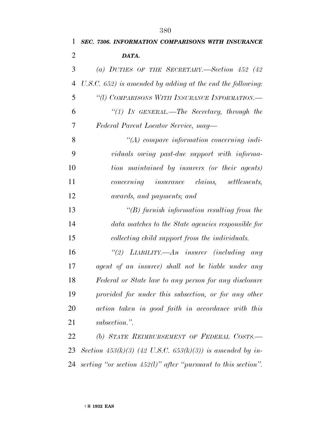*DATA.*

 *U.S.C. 652) is amended by adding at the end the following: ''(l) COMPARISONS WITH INSURANCE INFORMATION.— ''(1) IN GENERAL.—The Secretary, through the Federal Parent Locator Service, may—*

 *''(A) compare information concerning indi- viduals owing past-due support with informa- tion maintained by insurers (or their agents) concerning insurance claims, settlements, awards, and payments; and*

 *''(B) furnish information resulting from the data matches to the State agencies responsible for collecting child support from the individuals.*

 *''(2) LIABILITY.—An insurer (including any agent of an insurer) shall not be liable under any Federal or State law to any person for any disclosure provided for under this subsection, or for any other action taken in good faith in accordance with this subsection.''.*

 *(b) STATE REIMBURSEMENT OF FEDERAL COSTS.— Section 453(k)(3) (42 U.S.C. 653(k)(3)) is amended by in-serting ''or section 452(l)'' after ''pursuant to this section''.*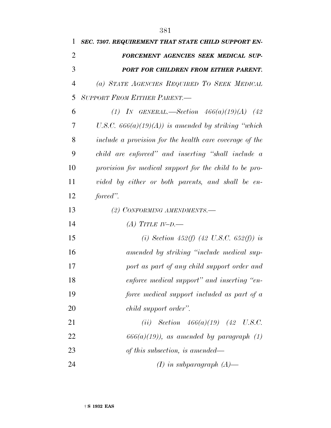| 1              | SEC. 7307. REQUIREMENT THAT STATE CHILD SUPPORT EN-     |
|----------------|---------------------------------------------------------|
| 2              | FORCEMENT AGENCIES SEEK MEDICAL SUP-                    |
| 3              | PORT FOR CHILDREN FROM EITHER PARENT.                   |
| $\overline{4}$ | (a) STATE AGENCIES REQUIRED TO SEEK MEDICAL             |
| 5              | <b>SUPPORT FROM EITHER PARENT.-</b>                     |
| 6              | (1) IN GENERAL.—Section $466(a)(19)(A)$ (42)            |
| 7              | U.S.C. $666(a)(19)(A)$ is amended by striking "which    |
| 8              | include a provision for the health care coverage of the |
| 9              | child are enforced" and inserting "shall include a      |
| 10             | provision for medical support for the child to be pro-  |
| 11             | vided by either or both parents, and shall be en-       |
| 12             | forced".                                                |
| 13             | (2) CONFORMING AMENDMENTS.—                             |
| 14             | (A) TITLE IV-D.                                         |
| 15             | (i) Section 452(f) (42 U.S.C. 652(f)) is                |
| 16             | amended by striking "include medical sup-               |
| 17             | port as part of any child support order and             |
| 18             | enforce medical support" and inserting "en-             |
| 19             | force medical support included as part of a             |
| 20             | child support order".                                   |
| 21             | ( <i>ii</i> ) <i>Section</i> $466(a)(19)$ (42 U.S.C.    |
| 22             | $666(a)(19)$ , as amended by paragraph $(1)$            |
| 23             | of this subsection, is amended—                         |
| 24             | $(I)$ in subparagraph $(A)$ —                           |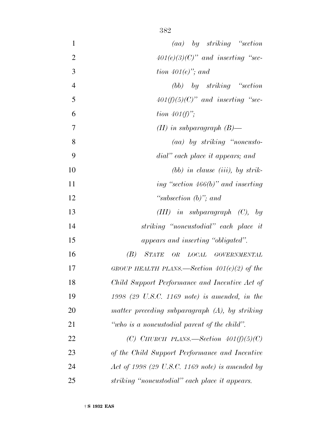| $\mathbf{1}$   | $(aa)$ by striking "section"                      |
|----------------|---------------------------------------------------|
| $\overline{2}$ | $401(e)(3)(C)$ " and inserting "sec-              |
| 3              | tion $401(e)$ , and                               |
| $\overline{4}$ | $(bb)$ by striking "section"                      |
| 5              | $401(f)(5)(C)$ " and inserting "sec-              |
| 6              | tion $401(f)$ ";                                  |
| 7              | $(II)$ in subparagraph $(B)$ —                    |
| 8              | (aa) by striking "noncusto-                       |
| 9              | dial" each place it appears; and                  |
| 10             | $(bb)$ in clause (iii), by strik-                 |
| 11             | ing "section $466(b)$ " and inserting             |
| 12             | "subsection $(b)$ "; and                          |
| 13             | $(III)$ in subparagraph $(C)$ , by                |
| 14             | striking "noncustodial" each place it             |
| 15             | appears and inserting "obligated".                |
| 16             | (B) STATE OR LOCAL GOVERNMENTAL                   |
| 17             | GROUP HEALTH PLANS.—Section $401(e)(2)$ of the    |
| 18             | Child Support Performance and Incentive Act of    |
| 19             | $1998$ (29 U.S.C. 1169 note) is amended, in the   |
| 20             | matter preceding subparagraph $(A)$ , by striking |
| 21             | "who is a noncustodial parent of the child".      |
| 22             | (C) CHURCH PLANS.—Section $401(f)(5)(C)$          |
| 23             | of the Child Support Performance and Incentive    |
| 24             | Act of 1998 (29 U.S.C. 1169 note) is amended by   |
| 25             | striking "noncustodial" each place it appears.    |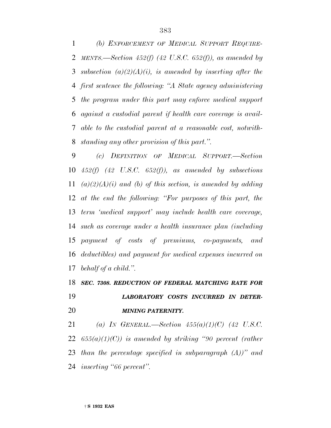*(b) ENFORCEMENT OF MEDICAL SUPPORT REQUIRE- MENTS.—Section 452(f) (42 U.S.C. 652(f)), as amended by subsection (a)(2)(A)(i), is amended by inserting after the first sentence the following: ''A State agency administering the program under this part may enforce medical support against a custodial parent if health care coverage is avail- able to the custodial parent at a reasonable cost, notwith-standing any other provision of this part.''.*

 *(c) DEFINITION OF MEDICAL SUPPORT.—Section 452(f) (42 U.S.C. 652(f)), as amended by subsections (a)(2)(A)(i) and (b) of this section, is amended by adding at the end the following: ''For purposes of this part, the term 'medical support' may include health care coverage, such as coverage under a health insurance plan (including payment of costs of premiums, co-payments, and deductibles) and payment for medical expenses incurred on behalf of a child.''.*

## *SEC. 7308. REDUCTION OF FEDERAL MATCHING RATE FOR LABORATORY COSTS INCURRED IN DETER-MINING PATERNITY.*

 *(a) IN GENERAL.—Section 455(a)(1)(C) (42 U.S.C. 655(a)(1)(C)) is amended by striking ''90 percent (rather than the percentage specified in subparagraph (A))'' and inserting ''66 percent''.*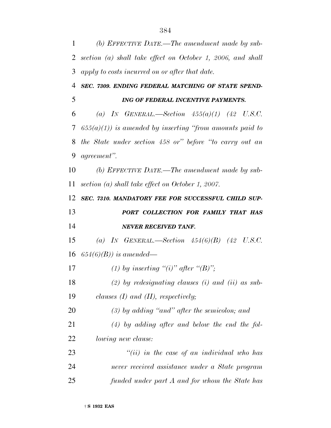*(b) EFFECTIVE DATE.—The amendment made by sub- section (a) shall take effect on October 1, 2006, and shall apply to costs incurred on or after that date. SEC. 7309. ENDING FEDERAL MATCHING OF STATE SPEND- ING OF FEDERAL INCENTIVE PAYMENTS. (a) IN GENERAL.—Section 455(a)(1) (42 U.S.C. 655(a)(1)) is amended by inserting ''from amounts paid to the State under section 458 or'' before ''to carry out an agreement''. (b) EFFECTIVE DATE.—The amendment made by sub- section (a) shall take effect on October 1, 2007. SEC. 7310. MANDATORY FEE FOR SUCCESSFUL CHILD SUP- PORT COLLECTION FOR FAMILY THAT HAS NEVER RECEIVED TANF. (a) IN GENERAL.—Section 454(6)(B) (42 U.S.C. 654(6)(B)) is amended—* 17 (1) by inserting "(i)" after "(B)"; *(2) by redesignating clauses (i) and (ii) as sub- clauses (I) and (II), respectively; (3) by adding ''and'' after the semicolon; and (4) by adding after and below the end the fol- lowing new clause: ''(ii) in the case of an individual who has never received assistance under a State program funded under part A and for whom the State has*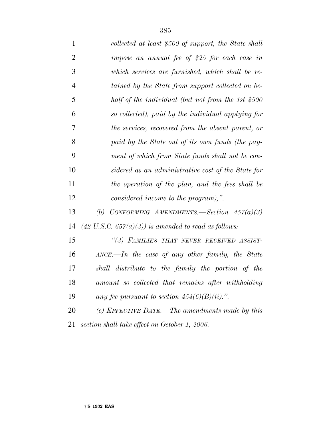| $\mathbf{1}$   | collected at least \$500 of support, the State shall                        |
|----------------|-----------------------------------------------------------------------------|
| $\overline{2}$ | impose an annual fee of \$25 for each case in                               |
| 3              | which services are furnished, which shall be re-                            |
| $\overline{4}$ | tained by the State from support collected on be-                           |
| 5              | half of the individual (but not from the 1st \$500                          |
| 6              | so collected), paid by the individual applying for                          |
| 7              | the services, recovered from the absent parent, or                          |
| 8              | paid by the State out of its own funds (the pay-                            |
| 9              | ment of which from State funds shall not be con-                            |
| 10             | sidered as an administrative cost of the State for                          |
| 11             | the operation of the plan, and the fees shall be                            |
| 12             | considered income to the program);".                                        |
| 13             | (b) CONFORMING AMENDMENTS. Section $457(a)(3)$                              |
| 14             | $(42 \text{ U.S.C. } 657(a)(3))$ is amended to read as follows:             |
| 15             | "(3) FAMILIES THAT NEVER RECEIVED ASSIST-                                   |
| 16             | $\triangle$ <i>NCE</i> .— <i>In the case of any other family, the State</i> |
| 17             | shall distribute to the family the portion of the                           |
| 18             | amount so collected that remains after withholding                          |
| 19             | any fee pursuant to section $454(6)(B)(ii)$ .".                             |
| 20             | (c) EFFECTIVE DATE.—The amendments made by this                             |
| 21             | section shall take effect on October 1, 2006.                               |